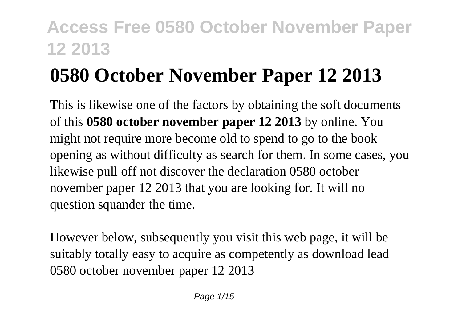# **0580 October November Paper 12 2013**

This is likewise one of the factors by obtaining the soft documents of this **0580 october november paper 12 2013** by online. You might not require more become old to spend to go to the book opening as without difficulty as search for them. In some cases, you likewise pull off not discover the declaration 0580 october november paper 12 2013 that you are looking for. It will no question squander the time.

However below, subsequently you visit this web page, it will be suitably totally easy to acquire as competently as download lead 0580 october november paper 12 2013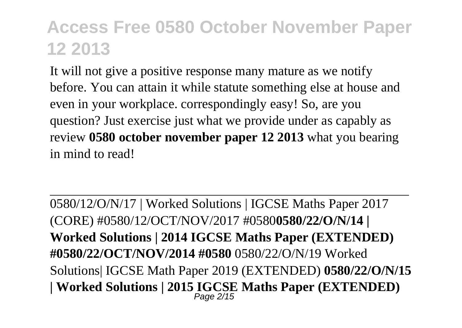It will not give a positive response many mature as we notify before. You can attain it while statute something else at house and even in your workplace. correspondingly easy! So, are you question? Just exercise just what we provide under as capably as review **0580 october november paper 12 2013** what you bearing in mind to read!

0580/12/O/N/17 | Worked Solutions | IGCSE Maths Paper 2017 (CORE) #0580/12/OCT/NOV/2017 #0580**0580/22/O/N/14 | Worked Solutions | 2014 IGCSE Maths Paper (EXTENDED) #0580/22/OCT/NOV/2014 #0580** 0580/22/O/N/19 Worked Solutions| IGCSE Math Paper 2019 (EXTENDED) **0580/22/O/N/15 | Worked Solutions | 2015 IGCSE Maths Paper (EXTENDED)** Page 2/15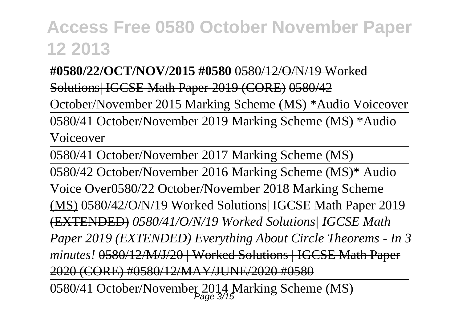**#0580/22/OCT/NOV/2015 #0580** 0580/12/O/N/19 Worked Solutions| IGCSE Math Paper 2019 (CORE) 0580/42

October/November 2015 Marking Scheme (MS) \*Audio Voiceover

0580/41 October/November 2019 Marking Scheme (MS) \*Audio Voiceover

0580/41 October/November 2017 Marking Scheme (MS)

0580/42 October/November 2016 Marking Scheme (MS)\* Audio Voice Over0580/22 October/November 2018 Marking Scheme (MS) 0580/42/O/N/19 Worked Solutions| IGCSE Math Paper 2019 (EXTENDED) *0580/41/O/N/19 Worked Solutions| IGCSE Math Paper 2019 (EXTENDED) Everything About Circle Theorems - In 3 minutes!* 0580/12/M/J/20 | Worked Solutions | IGCSE Math Paper 2020 (CORE) #0580/12/MAY/JUNE/2020 #0580

0580/41 October/November 2014 Marking Scheme (MS)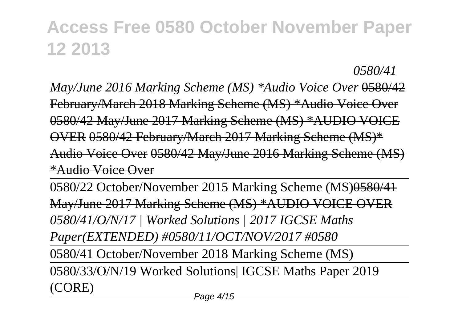*0580/41*

*May/June 2016 Marking Scheme (MS) \*Audio Voice Over* 0580/42 February/March 2018 Marking Scheme (MS) \*Audio Voice Over 0580/42 May/June 2017 Marking Scheme (MS) \*AUDIO VOICE OVER 0580/42 February/March 2017 Marking Scheme (MS)\* Audio Voice Over 0580/42 May/June 2016 Marking Scheme (MS) \*Audio Voice Over

0580/22 October/November 2015 Marking Scheme (MS)0580/41 May/June 2017 Marking Scheme (MS) \*AUDIO VOICE OVER *0580/41/O/N/17 | Worked Solutions | 2017 IGCSE Maths Paper(EXTENDED) #0580/11/OCT/NOV/2017 #0580*

0580/41 October/November 2018 Marking Scheme (MS)

0580/33/O/N/19 Worked Solutions| IGCSE Maths Paper 2019 (CORE)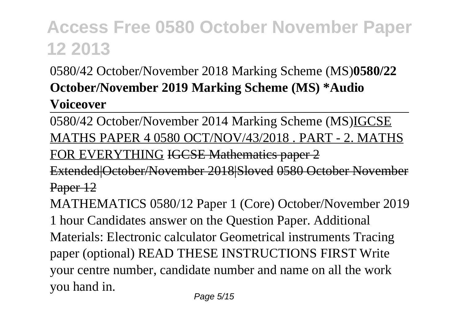### 0580/42 October/November 2018 Marking Scheme (MS)**0580/22 October/November 2019 Marking Scheme (MS) \*Audio**

### **Voiceover**

0580/42 October/November 2014 Marking Scheme (MS)IGCSE MATHS PAPER 4 0580 OCT/NOV/43/2018 . PART - 2. MATHS FOR EVERYTHING IGCSE Mathematics paper 2 Extended|October/November 2018|Sloved 0580 October November Paper 12 MATHEMATICS 0580/12 Paper 1 (Core) October/November 2019 1 hour Candidates answer on the Question Paper. Additional Materials: Electronic calculator Geometrical instruments Tracing paper (optional) READ THESE INSTRUCTIONS FIRST Write your centre number, candidate number and name on all the work you hand in.

Page 5/15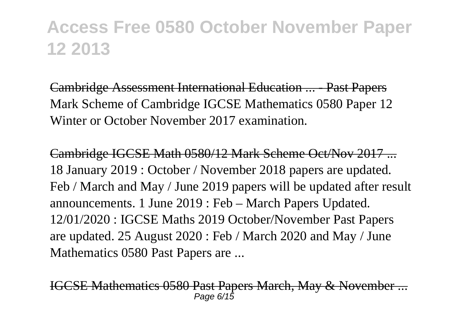Cambridge Assessment International Education ... - Past Papers Mark Scheme of Cambridge IGCSE Mathematics 0580 Paper 12 Winter or October November 2017 examination.

Cambridge IGCSE Math 0580/12 Mark Scheme Oct/Nov 2017 ... 18 January 2019 : October / November 2018 papers are updated. Feb / March and May / June 2019 papers will be updated after result announcements. 1 June 2019 : Feb – March Papers Updated. 12/01/2020 : IGCSE Maths 2019 October/November Past Papers are updated. 25 August 2020 : Feb / March 2020 and May / June Mathematics 0580 Past Papers are ...

ICSE Mathematics 0580 Past Papers March, May & November Page 6/15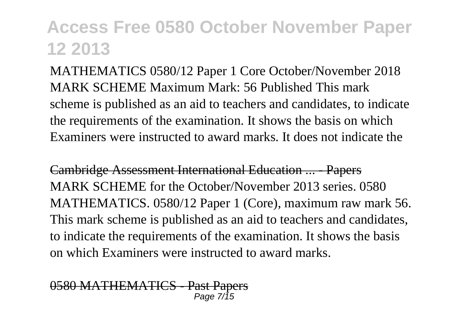MATHEMATICS 0580/12 Paper 1 Core October/November 2018 MARK SCHEME Maximum Mark: 56 Published This mark scheme is published as an aid to teachers and candidates, to indicate the requirements of the examination. It shows the basis on which Examiners were instructed to award marks. It does not indicate the

Cambridge Assessment International Education ... - Papers MARK SCHEME for the October/November 2013 series. 0580 MATHEMATICS. 0580/12 Paper 1 (Core), maximum raw mark 56. This mark scheme is published as an aid to teachers and candidates, to indicate the requirements of the examination. It shows the basis on which Examiners were instructed to award marks.

0580 MATHEMATICS - Past Papers Page 7/15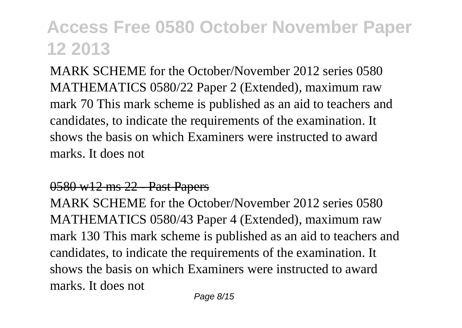MARK SCHEME for the October/November 2012 series 0580 MATHEMATICS 0580/22 Paper 2 (Extended), maximum raw mark 70 This mark scheme is published as an aid to teachers and candidates, to indicate the requirements of the examination. It shows the basis on which Examiners were instructed to award marks. It does not

#### 0580 w12 ms 22 - Past Papers

MARK SCHEME for the October/November 2012 series 0580 MATHEMATICS 0580/43 Paper 4 (Extended), maximum raw mark 130 This mark scheme is published as an aid to teachers and candidates, to indicate the requirements of the examination. It shows the basis on which Examiners were instructed to award marks. It does not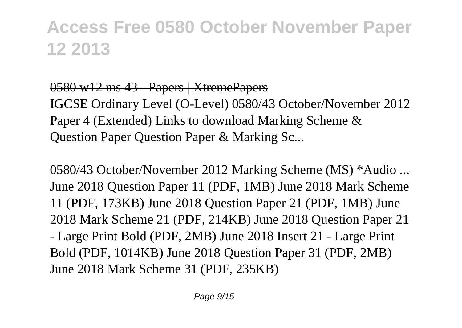### 0580 w12 ms 43 - Papers | XtremePapers

IGCSE Ordinary Level (O-Level) 0580/43 October/November 2012 Paper 4 (Extended) Links to download Marking Scheme & Question Paper Question Paper & Marking Sc...

0580/43 October/November 2012 Marking Scheme (MS) \*Audio ... June 2018 Question Paper 11 (PDF, 1MB) June 2018 Mark Scheme 11 (PDF, 173KB) June 2018 Question Paper 21 (PDF, 1MB) June 2018 Mark Scheme 21 (PDF, 214KB) June 2018 Question Paper 21 - Large Print Bold (PDF, 2MB) June 2018 Insert 21 - Large Print Bold (PDF, 1014KB) June 2018 Question Paper 31 (PDF, 2MB) June 2018 Mark Scheme 31 (PDF, 235KB)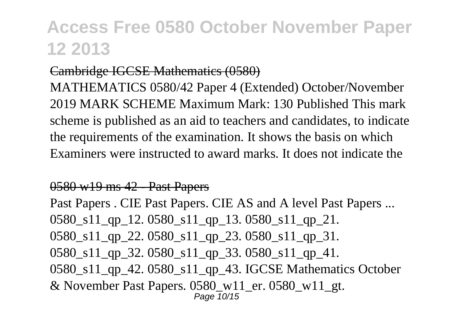### Cambridge IGCSE Mathematics (0580)

MATHEMATICS 0580/42 Paper 4 (Extended) October/November 2019 MARK SCHEME Maximum Mark: 130 Published This mark scheme is published as an aid to teachers and candidates, to indicate the requirements of the examination. It shows the basis on which Examiners were instructed to award marks. It does not indicate the

#### 0580 w19 ms 42 - Past Papers

Past Papers . CIE Past Papers. CIE AS and A level Past Papers ... 0580\_s11\_qp\_12. 0580\_s11\_qp\_13. 0580\_s11\_qp\_21. 0580\_s11\_qp\_22. 0580\_s11\_qp\_23. 0580\_s11\_qp\_31. 0580 s11 qp 32. 0580 s11 qp 33. 0580 s11 qp 41. 0580\_s11\_qp\_42. 0580\_s11\_qp\_43. IGCSE Mathematics October  $&$  November Past Papers. 0580 w11 er. 0580 w11 gt. Page 10/15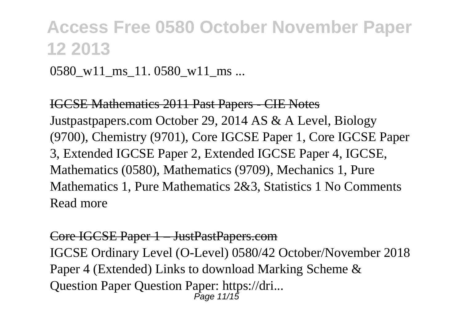0580 w11 ms 11. 0580 w11 ms ...

IGCSE Mathematics 2011 Past Papers - CIE Notes Justpastpapers.com October 29, 2014 AS & A Level, Biology (9700), Chemistry (9701), Core IGCSE Paper 1, Core IGCSE Paper 3, Extended IGCSE Paper 2, Extended IGCSE Paper 4, IGCSE, Mathematics (0580), Mathematics (9709), Mechanics 1, Pure Mathematics 1, Pure Mathematics 2&3, Statistics 1 No Comments Read more

#### Core IGCSE Paper 1 – JustPastPapers.com

IGCSE Ordinary Level (O-Level) 0580/42 October/November 2018 Paper 4 (Extended) Links to download Marking Scheme & Question Paper Question Paper: https://dri... Page 11/15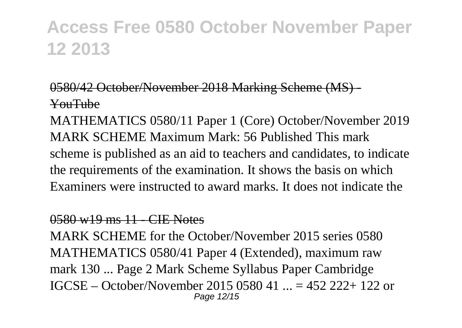### 0580/42 October/November 2018 Marking Scheme (MS) - YouTube

MATHEMATICS 0580/11 Paper 1 (Core) October/November 2019 MARK SCHEME Maximum Mark: 56 Published This mark scheme is published as an aid to teachers and candidates, to indicate the requirements of the examination. It shows the basis on which Examiners were instructed to award marks. It does not indicate the

### 0580 w19 ms 11 - CIE Notes

MARK SCHEME for the October/November 2015 series 0580 MATHEMATICS 0580/41 Paper 4 (Extended), maximum raw mark 130 ... Page 2 Mark Scheme Syllabus Paper Cambridge IGCSE – October/November 2015 0580 41 ... = 452 222+ 122 or Page 12/15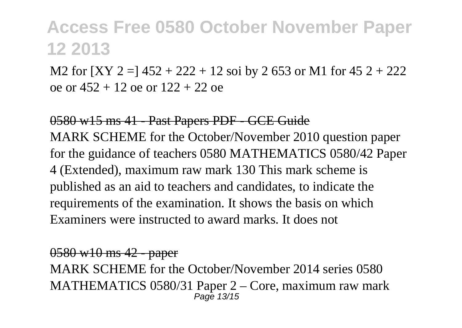M2 for  $[XY 2 =] 452 + 222 + 12$  soi by 2 653 or M1 for 45 2 + 222 oe or 452 + 12 oe or 122 + 22 oe

0580 w15 ms 41 - Past Papers PDF - GCE Guide MARK SCHEME for the October/November 2010 question paper for the guidance of teachers 0580 MATHEMATICS 0580/42 Paper 4 (Extended), maximum raw mark 130 This mark scheme is published as an aid to teachers and candidates, to indicate the requirements of the examination. It shows the basis on which Examiners were instructed to award marks. It does not

0580 w10 ms 42 - paper

MARK SCHEME for the October/November 2014 series 0580 MATHEMATICS 0580/31 Paper 2 – Core, maximum raw mark Page 13/15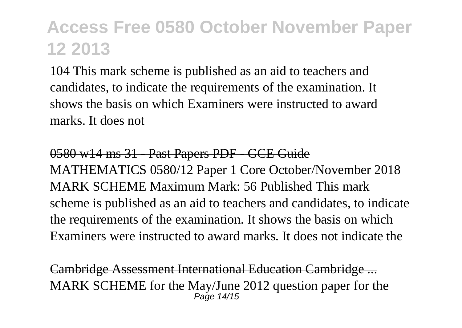104 This mark scheme is published as an aid to teachers and candidates, to indicate the requirements of the examination. It shows the basis on which Examiners were instructed to award marks. It does not

0580 w14 ms 31 - Past Papers PDF - GCE Guide MATHEMATICS 0580/12 Paper 1 Core October/November 2018 MARK SCHEME Maximum Mark: 56 Published This mark scheme is published as an aid to teachers and candidates, to indicate the requirements of the examination. It shows the basis on which Examiners were instructed to award marks. It does not indicate the

Cambridge Assessment International Education Cambridge ... MARK SCHEME for the May/June 2012 question paper for the  $P$ age  $14/15$